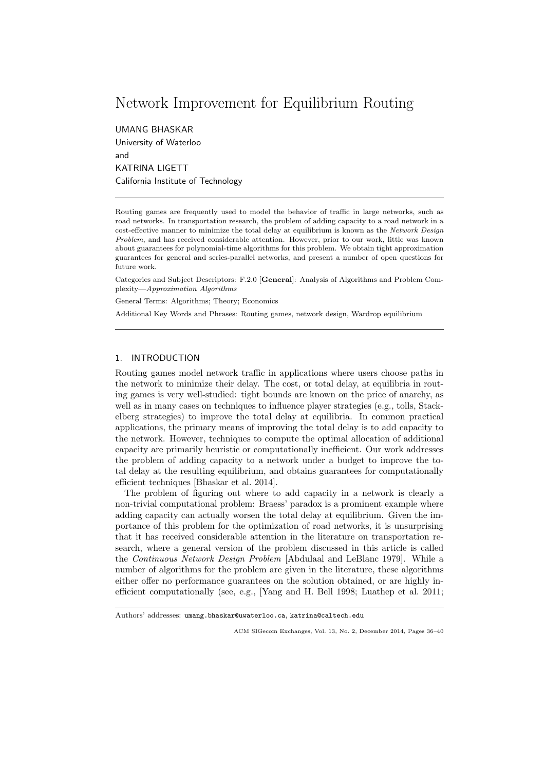# Network Improvement for Equilibrium Routing

UMANG BHASKAR University of Waterloo and KATRINA LIGETT California Institute of Technology

Routing games are frequently used to model the behavior of traffic in large networks, such as road networks. In transportation research, the problem of adding capacity to a road network in a cost-effective manner to minimize the total delay at equilibrium is known as the Network Design Problem, and has received considerable attention. However, prior to our work, little was known about guarantees for polynomial-time algorithms for this problem. We obtain tight approximation guarantees for general and series-parallel networks, and present a number of open questions for future work.

Categories and Subject Descriptors: F.2.0 [General]: Analysis of Algorithms and Problem Complexity—Approximation Algorithms

General Terms: Algorithms; Theory; Economics

Additional Key Words and Phrases: Routing games, network design, Wardrop equilibrium

### 1. INTRODUCTION

Routing games model network traffic in applications where users choose paths in the network to minimize their delay. The cost, or total delay, at equilibria in routing games is very well-studied: tight bounds are known on the price of anarchy, as well as in many cases on techniques to influence player strategies (e.g., tolls, Stackelberg strategies) to improve the total delay at equilibria. In common practical applications, the primary means of improving the total delay is to add capacity to the network. However, techniques to compute the optimal allocation of additional capacity are primarily heuristic or computationally inefficient. Our work addresses the problem of adding capacity to a network under a budget to improve the total delay at the resulting equilibrium, and obtains guarantees for computationally efficient techniques [Bhaskar et al. 2014].

The problem of figuring out where to add capacity in a network is clearly a non-trivial computational problem: Braess' paradox is a prominent example where adding capacity can actually worsen the total delay at equilibrium. Given the importance of this problem for the optimization of road networks, it is unsurprising that it has received considerable attention in the literature on transportation research, where a general version of the problem discussed in this article is called the Continuous Network Design Problem [Abdulaal and LeBlanc 1979]. While a number of algorithms for the problem are given in the literature, these algorithms either offer no performance guarantees on the solution obtained, or are highly inefficient computationally (see, e.g., [Yang and H. Bell 1998; Luathep et al. 2011;

Authors' addresses: umang.bhaskar@uwaterloo.ca, katrina@caltech.edu

ACM SIGecom Exchanges, Vol. 13, No. 2, December 2014, Pages 36–40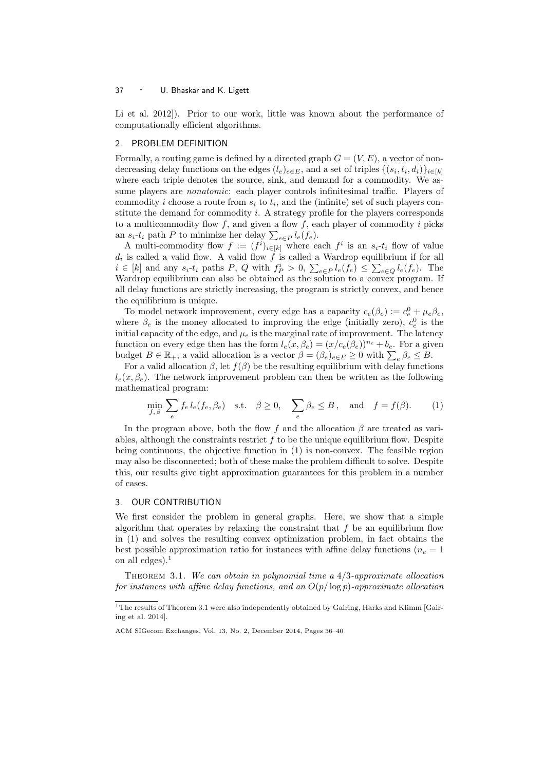Li et al. 2012]). Prior to our work, little was known about the performance of computationally efficient algorithms.

#### 2. PROBLEM DEFINITION

Formally, a routing game is defined by a directed graph  $G = (V, E)$ , a vector of nondecreasing delay functions on the edges  $(l_e)_{e \in E}$ , and a set of triples  $\{(s_i, t_i, d_i)\}_{i \in [k]}$ where each triple denotes the source, sink, and demand for a commodity. We assume players are *nonatomic*: each player controls infinitesimal traffic. Players of commodity *i* choose a route from  $s_i$  to  $t_i$ , and the (infinite) set of such players constitute the demand for commodity i. A strategy profile for the players corresponds to a multicommodity flow  $f$ , and given a flow  $f$ , each player of commodity  $i$  picks an  $s_i$ -t<sub>i</sub> path P to minimize her delay  $\sum_{e \in P} l_e(f_e)$ .

A multi-commodity flow  $f := (f^i)_{i \in [k]}$  where each  $f^i$  is an  $s_i$ - $t_i$  flow of value  $d_i$  is called a valid flow. A valid flow f is called a Wardrop equilibrium if for all  $i \in [k]$  and any  $s_i \cdot t_i$  paths P, Q with  $f_P^i > 0$ ,  $\sum_{e \in P} l_e(f_e) \leq \sum_{e \in Q} l_e(f_e)$ . The Wardrop equilibrium can also be obtained as the solution to a convex program. If all delay functions are strictly increasing, the program is strictly convex, and hence the equilibrium is unique.

To model network improvement, every edge has a capacity  $c_e(\beta_e) := c_e^0 + \mu_e \beta_e$ , where  $\beta_e$  is the money allocated to improving the edge (initially zero),  $c_e^0$  is the initial capacity of the edge, and  $\mu_e$  is the marginal rate of improvement. The latency function on every edge then has the form  $l_e(x, \beta_e) = (x/c_e(\beta_e))^{n_e} + b_e$ . For a given budget  $B \in \mathbb{R}_+$ , a valid allocation is a vector  $\beta = (\beta_e)_{e \in E} \ge 0$  with  $\sum_e \beta_e \le B$ .

For a valid allocation  $\beta$ , let  $f(\beta)$  be the resulting equilibrium with delay functions  $l_e(x, \beta_e)$ . The network improvement problem can then be written as the following mathematical program:

$$
\min_{f,\,\beta} \,\sum_{e} f_e \, l_e(f_e,\beta_e) \quad \text{s.t.} \quad \beta \ge 0, \quad \sum_{e} \beta_e \le B \,, \quad \text{and} \quad f = f(\beta). \tag{1}
$$

In the program above, both the flow f and the allocation  $\beta$  are treated as variables, although the constraints restrict  $f$  to be the unique equilibrium flow. Despite being continuous, the objective function in (1) is non-convex. The feasible region may also be disconnected; both of these make the problem difficult to solve. Despite this, our results give tight approximation guarantees for this problem in a number of cases.

#### 3. OUR CONTRIBUTION

We first consider the problem in general graphs. Here, we show that a simple algorithm that operates by relaxing the constraint that  $f$  be an equilibrium flow in (1) and solves the resulting convex optimization problem, in fact obtains the best possible approximation ratio for instances with affine delay functions ( $n_e = 1$ ) on all edges). $<sup>1</sup>$ </sup>

THEOREM 3.1. We can obtain in polynomial time a  $4/3$ -approximate allocation for instances with affine delay functions, and an  $O(p/\log p)$ -approximate allocation

<sup>&</sup>lt;sup>1</sup>The results of Theorem 3.1 were also independently obtained by Gairing, Harks and Klimm [Gairing et al. 2014].

ACM SIGecom Exchanges, Vol. 13, No. 2, December 2014, Pages 36–40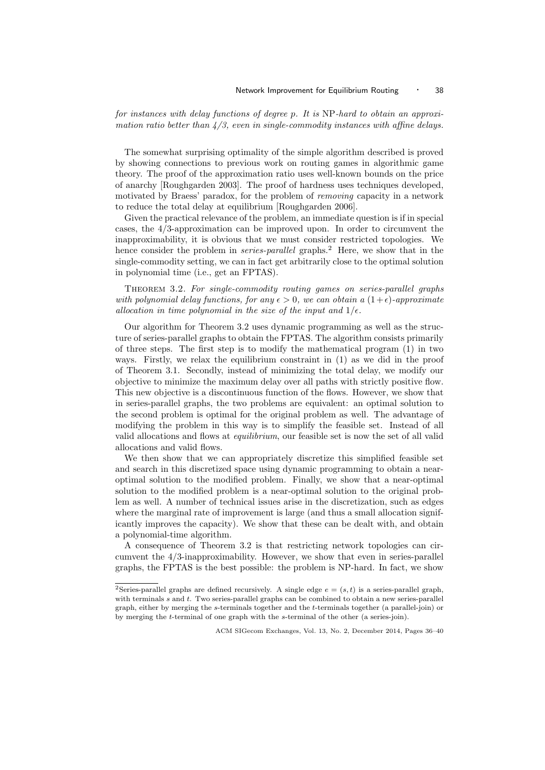for instances with delay functions of degree p. It is NP-hard to obtain an approximation ratio better than  $\frac{1}{3}$ , even in single-commodity instances with affine delays.

The somewhat surprising optimality of the simple algorithm described is proved by showing connections to previous work on routing games in algorithmic game theory. The proof of the approximation ratio uses well-known bounds on the price of anarchy [Roughgarden 2003]. The proof of hardness uses techniques developed, motivated by Braess' paradox, for the problem of removing capacity in a network to reduce the total delay at equilibrium [Roughgarden 2006].

Given the practical relevance of the problem, an immediate question is if in special cases, the 4/3-approximation can be improved upon. In order to circumvent the inapproximability, it is obvious that we must consider restricted topologies. We hence consider the problem in *series-parallel* graphs.<sup>2</sup> Here, we show that in the single-commodity setting, we can in fact get arbitrarily close to the optimal solution in polynomial time (i.e., get an FPTAS).

THEOREM 3.2. For single-commodity routing games on series-parallel graphs with polynomial delay functions, for any  $\epsilon > 0$ , we can obtain a  $(1+\epsilon)$ -approximate allocation in time polynomial in the size of the input and  $1/\epsilon$ .

Our algorithm for Theorem 3.2 uses dynamic programming as well as the structure of series-parallel graphs to obtain the FPTAS. The algorithm consists primarily of three steps. The first step is to modify the mathematical program (1) in two ways. Firstly, we relax the equilibrium constraint in (1) as we did in the proof of Theorem 3.1. Secondly, instead of minimizing the total delay, we modify our objective to minimize the maximum delay over all paths with strictly positive flow. This new objective is a discontinuous function of the flows. However, we show that in series-parallel graphs, the two problems are equivalent: an optimal solution to the second problem is optimal for the original problem as well. The advantage of modifying the problem in this way is to simplify the feasible set. Instead of all valid allocations and flows at equilibrium, our feasible set is now the set of all valid allocations and valid flows.

We then show that we can appropriately discretize this simplified feasible set and search in this discretized space using dynamic programming to obtain a nearoptimal solution to the modified problem. Finally, we show that a near-optimal solution to the modified problem is a near-optimal solution to the original problem as well. A number of technical issues arise in the discretization, such as edges where the marginal rate of improvement is large (and thus a small allocation significantly improves the capacity). We show that these can be dealt with, and obtain a polynomial-time algorithm.

A consequence of Theorem 3.2 is that restricting network topologies can circumvent the 4/3-inapproximability. However, we show that even in series-parallel graphs, the FPTAS is the best possible: the problem is NP-hard. In fact, we show

<sup>&</sup>lt;sup>2</sup>Series-parallel graphs are defined recursively. A single edge  $e = (s, t)$  is a series-parallel graph, with terminals s and t. Two series-parallel graphs can be combined to obtain a new series-parallel graph, either by merging the s-terminals together and the t-terminals together (a parallel-join) or by merging the t-terminal of one graph with the s-terminal of the other (a series-join).

ACM SIGecom Exchanges, Vol. 13, No. 2, December 2014, Pages 36–40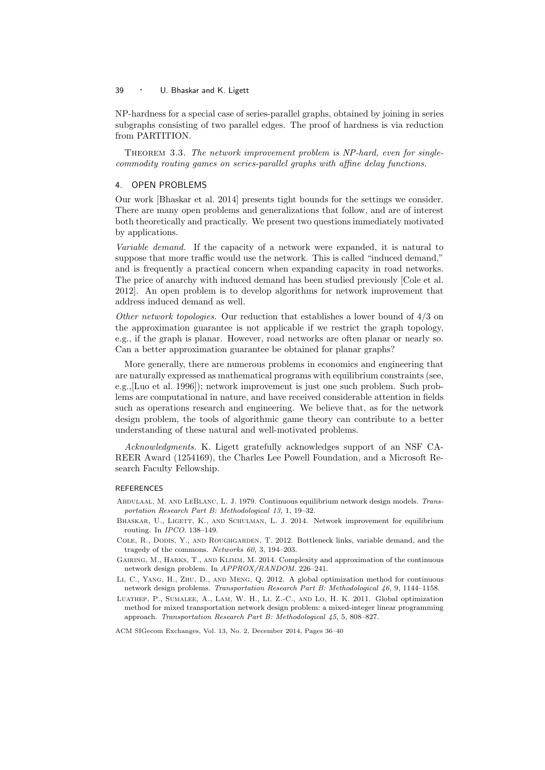## 39 · U. Bhaskar and K. Ligett

NP-hardness for a special case of series-parallel graphs, obtained by joining in series subgraphs consisting of two parallel edges. The proof of hardness is via reduction from PARTITION.

THEOREM 3.3. The network improvement problem is NP-hard, even for singlecommodity routing games on series-parallel graphs with affine delay functions.

## 4. OPEN PROBLEMS

Our work [Bhaskar et al. 2014] presents tight bounds for the settings we consider. There are many open problems and generalizations that follow, and are of interest both theoretically and practically. We present two questions immediately motivated by applications.

Variable demand. If the capacity of a network were expanded, it is natural to suppose that more traffic would use the network. This is called "induced demand," and is frequently a practical concern when expanding capacity in road networks. The price of anarchy with induced demand has been studied previously [Cole et al. 2012]. An open problem is to develop algorithms for network improvement that address induced demand as well.

Other network topologies. Our reduction that establishes a lower bound of  $4/3$  on the approximation guarantee is not applicable if we restrict the graph topology, e.g., if the graph is planar. However, road networks are often planar or nearly so. Can a better approximation guarantee be obtained for planar graphs?

More generally, there are numerous problems in economics and engineering that are naturally expressed as mathematical programs with equilibrium constraints (see, e.g.,[Luo et al. 1996]); network improvement is just one such problem. Such problems are computational in nature, and have received considerable attention in fields such as operations research and engineering. We believe that, as for the network design problem, the tools of algorithmic game theory can contribute to a better understanding of these natural and well-motivated problems.

Acknowledgments. K. Ligett gratefully acknowledges support of an NSF CA-REER Award (1254169), the Charles Lee Powell Foundation, and a Microsoft Research Faculty Fellowship.

## REFERENCES

- Abdulaal, M. and LeBlanc, L. J. 1979. Continuous equilibrium network design models. Transportation Research Part B: Methodological 13, 1, 19–32.
- BHASKAR, U., LIGETT, K., AND SCHULMAN, L. J. 2014. Network improvement for equilibrium routing. In IPCO. 138–149.
- COLE, R., DODIS, Y., AND ROUGHGARDEN, T. 2012. Bottleneck links, variable demand, and the tragedy of the commons. Networks 60, 3, 194–203.
- GAIRING, M., HARKS, T., AND KLIMM, M. 2014. Complexity and approximation of the continuous network design problem. In APPROX/RANDOM. 226–241.
- Li, C., Yang, H., Zhu, D., and Meng, Q. 2012. A global optimization method for continuous network design problems. Transportation Research Part B: Methodological 46, 9, 1144–1158.
- Luathep, P., Sumalee, A., Lam, W. H., Li, Z.-C., and Lo, H. K. 2011. Global optimization method for mixed transportation network design problem: a mixed-integer linear programming approach. Transportation Research Part B: Methodological 45, 5, 808–827.

ACM SIGecom Exchanges, Vol. 13, No. 2, December 2014, Pages 36–40